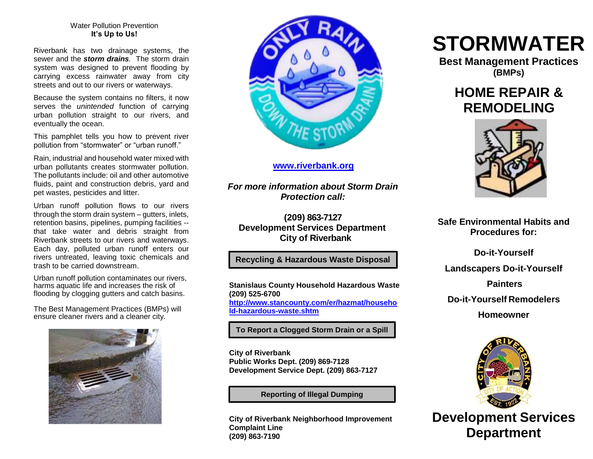#### Water Pollution Prevention **It's Up to Us!**

Riverbank has two drainage systems, the sewer and the *storm drains.* The storm drain system was designed to prevent flooding by carrying excess rainwater away from city streets and out to our rivers or waterways.

Because the system contains no filters, it now serves the *unintended* function of carrying urban pollution straight to our rivers, and eventually the ocean.

This pamphlet tells you how to prevent river pollution from "stormwater" or "urban runoff."

Rain, industrial and household water mixed with urban pollutants creates stormwater pollution. The pollutants include: oil and other automotive fluids, paint and construction debris, yard and pet wastes, pesticides and litter.

Urban runoff pollution flows to our rivers through the storm drain system – gutters, inlets, retention basins, pipelines, pumping facilities - that take water and debris straight from Riverbank streets to our rivers and waterways. Each day, polluted urban runoff enters our rivers untreated, leaving toxic chemicals and trash to be carried downstream.

Urban runoff pollution contaminates our rivers, harms aquatic life and increases the risk of flooding by clogging gutters and catch basins.

The Best Management Practices (BMPs) will ensure cleaner rivers and a cleaner city.





# **[www.riverbank.org](http://www.riverbank.org/)**

*For more information about Storm Drain Protection call:*

**(209) 863-7127 Development Services Department City of Riverbank**

# **Recycling & Hazardous Waste Disposal**

**Stanislaus County Household Hazardous Waste (209) 525-6700 [http://www.stancounty.com/er/hazmat/househo](http://www.stancounty.com/er/hazmat/household-hazardous-waste.shtm) [ld-hazardous-waste.shtm](http://www.stancounty.com/er/hazmat/household-hazardous-waste.shtm)**

**To Report a Clogged Storm Drain or a Spill**

**City of Riverbank Public Works Dept. (209) 869-7128 Development Service Dept. (209) 863-7127**

**Reporting of Illegal Dumping**

**City of Riverbank Neighborhood Improvement Complaint Line (209) 863-7190**

# **STORMWATER**

**Best Management Practices (BMPs)**

# **HOME REPAIR & REMODELING**



**Safe Environmental Habits and Procedures for:**

**Do-it-Yourself Landscapers Do-it-Yourself Painters Do-it-Yourself Remodelers**

**Homeowner**



**Development Services Department**